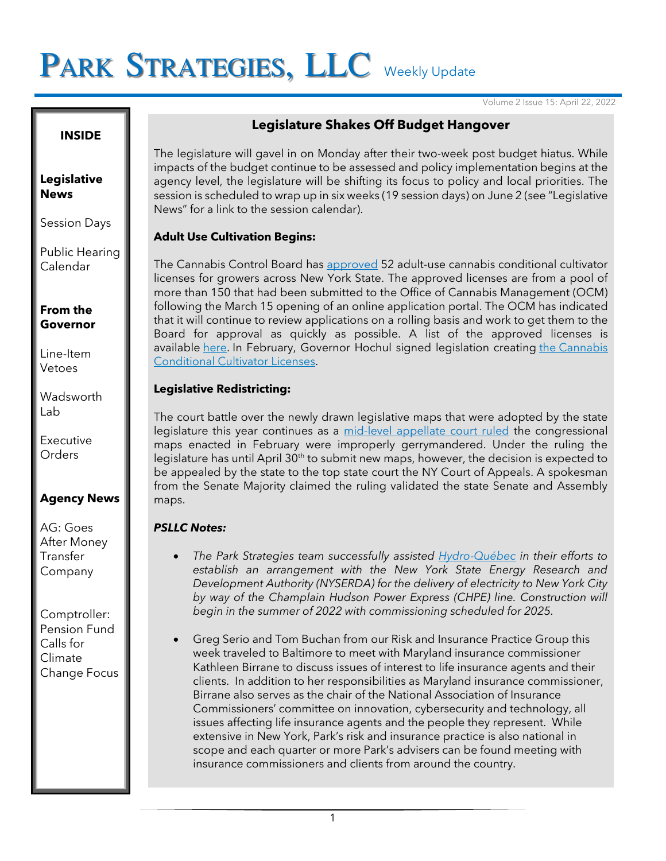# PARK STRATEGIES, LLC Weekly Update

Volume 2 Issue 15: April 22, 2022

#### **INSIDE**

#### **Legislative News**

Session Days

Public Hearing Calendar

**From the Governor**

Line-Item Vetoes

**Wadsworth** Lab

Executive **Orders** 

## **Agency News**

AG: Goes After Money Transfer Company

Comptroller: Pension Fund Calls for Climate Change Focus

## **Legislature Shakes Off Budget Hangover**

The legislature will gavel in on Monday after their two-week post budget hiatus. While impacts of the budget continue to be assessed and policy implementation begins at the agency level, the legislature will be shifting its focus to policy and local priorities. The session is scheduled to wrap up in six weeks (19 session days) on June 2 (see "Legislative News" for a link to the session calendar).

## **Adult Use Cultivation Begins:**

The Cannabis Control Board has [approved](https://www.governor.ny.gov/news/governor-hochul-announces-approval-first-adult-use-cannabis-conditional-cultivation-licenses) 52 adult-use cannabis conditional cultivator licenses for growers across New York State. The approved licenses are from a pool of more than 150 that had been submitted to the Office of Cannabis Management (OCM) following the March 15 opening of an online application portal. The OCM has indicated that it will continue to review applications on a rolling basis and work to get them to the Board for approval as quickly as possible. A list of the approved licenses is available [here.](https://cannabis.ny.gov/conditional-cultivator-resolution) In February, Governor Hochul signed legislation creating the Cannabis [Conditional Cultivator Licenses.](https://www.governor.ny.gov/news/governor-hochul-signs-conditional-cannabis-cultivation-bill)

## **Legislative Redistricting:**

The court battle over the newly drawn legislative maps that were adopted by the state legislature this year continues as a [mid-level appellate court ruled](https://www.politico.com/news/2022/04/21/new-york-congressional-maps-gerrymandering-00027084) the congressional maps enacted in February were improperly gerrymandered. Under the ruling the legislature has until April 30<sup>th</sup> to submit new maps, however, the decision is expected to be appealed by the state to the top state court the NY Court of Appeals. A spokesman from the Senate Majority claimed the ruling validated the state Senate and Assembly maps.

### *PSLLC Notes:*

- *The Park Strategies team successfully assisted [Hydro-Québec](http://news.hydroquebec.com/en/news/236/final-approval-obtained-in-the-us-hydro-quebecs-export-project-to-new-york-city-green-light-from-the-public-service-commission/) in their efforts to establish an arrangement with the New York State Energy Research and Development Authority (NYSERDA) for the delivery of electricity to New York City by way of the Champlain Hudson Power Express (CHPE) line. Construction will begin in the summer of 2022 with commissioning scheduled for 2025.*
- Greg Serio and Tom Buchan from our Risk and Insurance Practice Group this week traveled to Baltimore to meet with Maryland insurance commissioner Kathleen Birrane to discuss issues of interest to life insurance agents and their clients. In addition to her responsibilities as Maryland insurance commissioner, Birrane also serves as the chair of the National Association of Insurance Commissioners' committee on innovation, cybersecurity and technology, all issues affecting life insurance agents and the people they represent. While extensive in New York, Park's risk and insurance practice is also national in scope and each quarter or more Park's advisers can be found meeting with insurance commissioners and clients from around the country.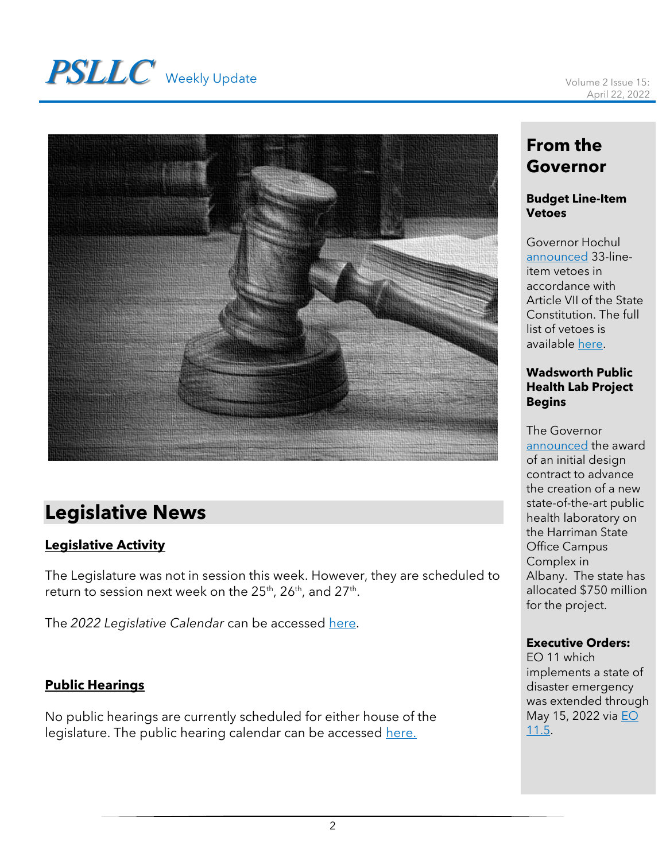# **PSLLC** Weekly Update Volume 2 Issue 15:



## **Legislative News**

## **Legislative Activity**

The Legislature was not in session this week. However, they are scheduled to return to session next week on the 25th, 26th, and 27th.

The *2022 Legislative Calendar* can be accessed [here.](https://www.nyassembly.gov/leg/docs/sessioncalendar_2022.pdf)

## **Public Hearings**

No public hearings are currently scheduled for either house of the legislature. The public hearing calendar can be accessed [here.](https://www.nyassembly.gov/leg/?sh=hear)

## **From the Governor**

## **Budget Line-Item Vetoes**

Governor Hochul [announced](https://www.governor.ny.gov/news/governor-hochul-vetoes-33-legislative-additions-fy-2023-enacted-budget) 33-lineitem vetoes in accordance with Article VII of the State Constitution. The full list of vetoes is available [here.](https://www.governor.ny.gov/sites/default/files/2022-04/FY_2023_Enacted_Budget_Vetoes_0.pdf)

### **Wadsworth Public Health Lab Project Begins**

The Governor [announced](https://www.governor.ny.gov/news/governor-hochul-announces-first-phase-new-750-million-wadsworth-public-health-laboratory) the award of an initial design contract to advance the creation of a new state-of-the-art public health laboratory on the Harriman State Office Campus Complex in Albany. The state has allocated \$750 million for the project.

## **Executive Orders:**

EO 11 which implements a state of disaster emergency was extended through May 15, 2022 via EO [11.5.](https://www.governor.ny.gov/executive-order/no-115-declaring-disaster-emergency-state-new-york)